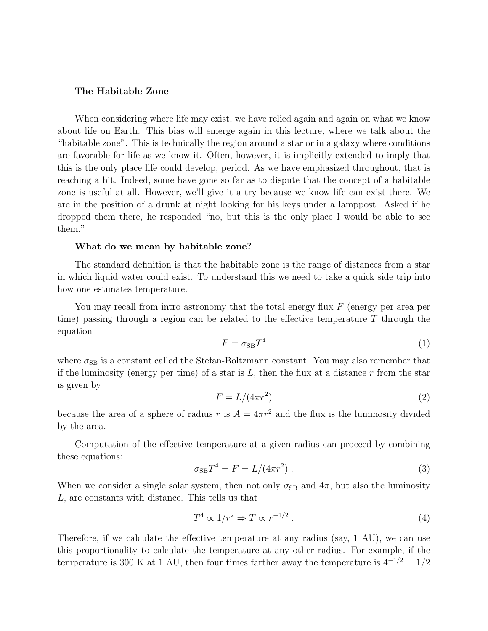# The Habitable Zone

When considering where life may exist, we have relied again and again on what we know about life on Earth. This bias will emerge again in this lecture, where we talk about the "habitable zone". This is technically the region around a star or in a galaxy where conditions are favorable for life as we know it. Often, however, it is implicitly extended to imply that this is the only place life could develop, period. As we have emphasized throughout, that is reaching a bit. Indeed, some have gone so far as to dispute that the concept of a habitable zone is useful at all. However, we'll give it a try because we know life can exist there. We are in the position of a drunk at night looking for his keys under a lamppost. Asked if he dropped them there, he responded "no, but this is the only place I would be able to see them."

#### What do we mean by habitable zone?

The standard definition is that the habitable zone is the range of distances from a star in which liquid water could exist. To understand this we need to take a quick side trip into how one estimates temperature.

You may recall from intro astronomy that the total energy flux  $F$  (energy per area per time) passing through a region can be related to the effective temperature  $T$  through the equation

$$
F = \sigma_{\rm SB} T^4 \tag{1}
$$

where  $\sigma_{\text{SB}}$  is a constant called the Stefan-Boltzmann constant. You may also remember that if the luminosity (energy per time) of a star is  $L$ , then the flux at a distance r from the star is given by

$$
F = L/(4\pi r^2) \tag{2}
$$

because the area of a sphere of radius r is  $A = 4\pi r^2$  and the flux is the luminosity divided by the area.

Computation of the effective temperature at a given radius can proceed by combining these equations:

$$
\sigma_{\rm SB} T^4 = F = L/(4\pi r^2) \tag{3}
$$

When we consider a single solar system, then not only  $\sigma_{SB}$  and  $4\pi$ , but also the luminosity L, are constants with distance. This tells us that

$$
T^4 \propto 1/r^2 \Rightarrow T \propto r^{-1/2} \ . \tag{4}
$$

Therefore, if we calculate the effective temperature at any radius (say, 1 AU), we can use this proportionality to calculate the temperature at any other radius. For example, if the temperature is 300 K at 1 AU, then four times farther away the temperature is  $4^{-1/2} = 1/2$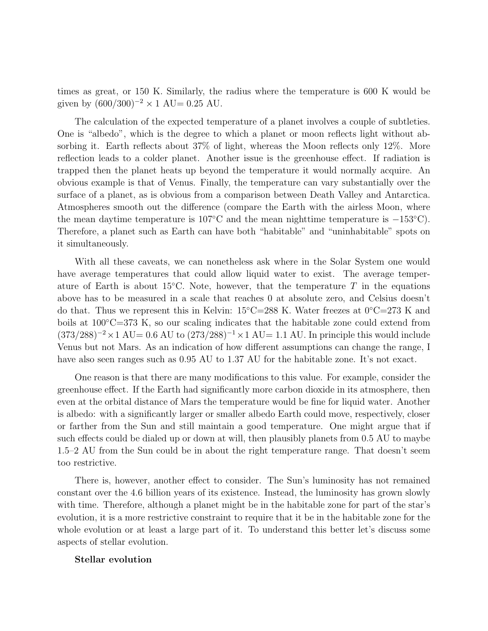times as great, or 150 K. Similarly, the radius where the temperature is 600 K would be given by  $(600/300)^{-2} \times 1$  AU= 0.25 AU.

The calculation of the expected temperature of a planet involves a couple of subtleties. One is "albedo", which is the degree to which a planet or moon reflects light without absorbing it. Earth reflects about 37% of light, whereas the Moon reflects only 12%. More reflection leads to a colder planet. Another issue is the greenhouse effect. If radiation is trapped then the planet heats up beyond the temperature it would normally acquire. An obvious example is that of Venus. Finally, the temperature can vary substantially over the surface of a planet, as is obvious from a comparison between Death Valley and Antarctica. Atmospheres smooth out the difference (compare the Earth with the airless Moon, where the mean daytime temperature is 107◦C and the mean nighttime temperature is −153◦C). Therefore, a planet such as Earth can have both "habitable" and "uninhabitable" spots on it simultaneously.

With all these caveats, we can nonetheless ask where in the Solar System one would have average temperatures that could allow liquid water to exist. The average temperature of Earth is about 15 $\degree$ C. Note, however, that the temperature T in the equations above has to be measured in a scale that reaches 0 at absolute zero, and Celsius doesn't do that. Thus we represent this in Kelvin:  $15\degree$ C=288 K. Water freezes at  $0\degree$ C=273 K and boils at 100◦C=373 K, so our scaling indicates that the habitable zone could extend from  $(373/288)^{-2} \times 1$  AU= 0.6 AU to  $(273/288)^{-1} \times 1$  AU= 1.1 AU. In principle this would include Venus but not Mars. As an indication of how different assumptions can change the range, I have also seen ranges such as  $0.95 \text{ AU}$  to  $1.37 \text{ AU}$  for the habitable zone. It's not exact.

One reason is that there are many modifications to this value. For example, consider the greenhouse effect. If the Earth had significantly more carbon dioxide in its atmosphere, then even at the orbital distance of Mars the temperature would be fine for liquid water. Another is albedo: with a significantly larger or smaller albedo Earth could move, respectively, closer or farther from the Sun and still maintain a good temperature. One might argue that if such effects could be dialed up or down at will, then plausibly planets from 0.5 AU to maybe 1.5–2 AU from the Sun could be in about the right temperature range. That doesn't seem too restrictive.

There is, however, another effect to consider. The Sun's luminosity has not remained constant over the 4.6 billion years of its existence. Instead, the luminosity has grown slowly with time. Therefore, although a planet might be in the habitable zone for part of the star's evolution, it is a more restrictive constraint to require that it be in the habitable zone for the whole evolution or at least a large part of it. To understand this better let's discuss some aspects of stellar evolution.

### Stellar evolution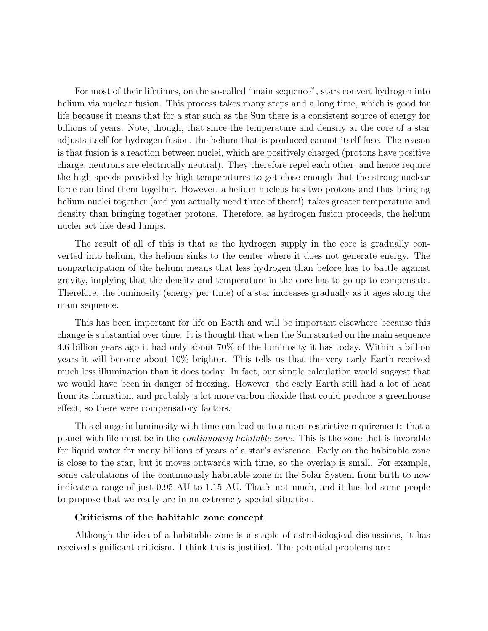For most of their lifetimes, on the so-called "main sequence", stars convert hydrogen into helium via nuclear fusion. This process takes many steps and a long time, which is good for life because it means that for a star such as the Sun there is a consistent source of energy for billions of years. Note, though, that since the temperature and density at the core of a star adjusts itself for hydrogen fusion, the helium that is produced cannot itself fuse. The reason is that fusion is a reaction between nuclei, which are positively charged (protons have positive charge, neutrons are electrically neutral). They therefore repel each other, and hence require the high speeds provided by high temperatures to get close enough that the strong nuclear force can bind them together. However, a helium nucleus has two protons and thus bringing helium nuclei together (and you actually need three of them!) takes greater temperature and density than bringing together protons. Therefore, as hydrogen fusion proceeds, the helium nuclei act like dead lumps.

The result of all of this is that as the hydrogen supply in the core is gradually converted into helium, the helium sinks to the center where it does not generate energy. The nonparticipation of the helium means that less hydrogen than before has to battle against gravity, implying that the density and temperature in the core has to go up to compensate. Therefore, the luminosity (energy per time) of a star increases gradually as it ages along the main sequence.

This has been important for life on Earth and will be important elsewhere because this change is substantial over time. It is thought that when the Sun started on the main sequence 4.6 billion years ago it had only about 70% of the luminosity it has today. Within a billion years it will become about 10% brighter. This tells us that the very early Earth received much less illumination than it does today. In fact, our simple calculation would suggest that we would have been in danger of freezing. However, the early Earth still had a lot of heat from its formation, and probably a lot more carbon dioxide that could produce a greenhouse effect, so there were compensatory factors.

This change in luminosity with time can lead us to a more restrictive requirement: that a planet with life must be in the continuously habitable zone. This is the zone that is favorable for liquid water for many billions of years of a star's existence. Early on the habitable zone is close to the star, but it moves outwards with time, so the overlap is small. For example, some calculations of the continuously habitable zone in the Solar System from birth to now indicate a range of just 0.95 AU to 1.15 AU. That's not much, and it has led some people to propose that we really are in an extremely special situation.

#### Criticisms of the habitable zone concept

Although the idea of a habitable zone is a staple of astrobiological discussions, it has received significant criticism. I think this is justified. The potential problems are: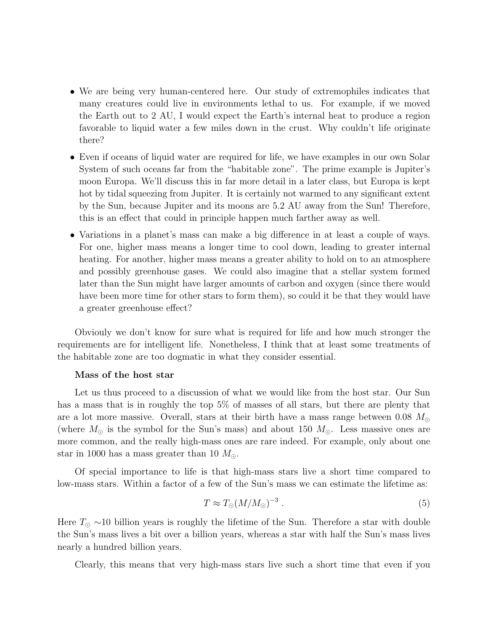- We are being very human-centered here. Our study of extremophiles indicates that many creatures could live in environments lethal to us. For example, if we moved the Earth out to 2 AU, I would expect the Earth's internal heat to produce a region favorable to liquid water a few miles down in the crust. Why couldn't life originate there?
- Even if oceans of liquid water are required for life, we have examples in our own Solar System of such oceans far from the "habitable zone". The prime example is Jupiter's moon Europa. We'll discuss this in far more detail in a later class, but Europa is kept hot by tidal squeezing from Jupiter. It is certainly not warmed to any significant extent by the Sun, because Jupiter and its moons are 5.2 AU away from the Sun! Therefore, this is an effect that could in principle happen much farther away as well.
- Variations in a planet's mass can make a big difference in at least a couple of ways. For one, higher mass means a longer time to cool down, leading to greater internal heating. For another, higher mass means a greater ability to hold on to an atmosphere and possibly greenhouse gases. We could also imagine that a stellar system formed later than the Sun might have larger amounts of carbon and oxygen (since there would have been more time for other stars to form them), so could it be that they would have a greater greenhouse effect?

Obviouly we don't know for sure what is required for life and how much stronger the requirements are for intelligent life. Nonetheless, I think that at least some treatments of the habitable zone are too dogmatic in what they consider essential.

## Mass of the host star

Let us thus proceed to a discussion of what we would like from the host star. Our Sun has a mass that is in roughly the top 5% of masses of all stars, but there are plenty that are a lot more massive. Overall, stars at their birth have a mass range between 0.08  $M_{\odot}$ (where  $M_{\odot}$  is the symbol for the Sun's mass) and about 150  $M_{\odot}$ . Less massive ones are more common, and the really high-mass ones are rare indeed. For example, only about one star in 1000 has a mass greater than 10  $M_{\odot}$ .

Of special importance to life is that high-mass stars live a short time compared to low-mass stars. Within a factor of a few of the Sun's mass we can estimate the lifetime as:

$$
T \approx T_{\odot} (M / M_{\odot})^{-3} \ . \tag{5}
$$

Here  $T_{\odot} \sim 10$  billion years is roughly the lifetime of the Sun. Therefore a star with double the Sun's mass lives a bit over a billion years, whereas a star with half the Sun's mass lives nearly a hundred billion years.

Clearly, this means that very high-mass stars live such a short time that even if you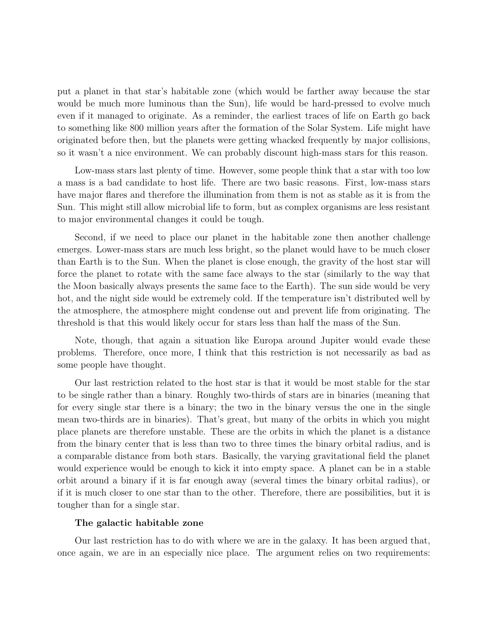put a planet in that star's habitable zone (which would be farther away because the star would be much more luminous than the Sun), life would be hard-pressed to evolve much even if it managed to originate. As a reminder, the earliest traces of life on Earth go back to something like 800 million years after the formation of the Solar System. Life might have originated before then, but the planets were getting whacked frequently by major collisions, so it wasn't a nice environment. We can probably discount high-mass stars for this reason.

Low-mass stars last plenty of time. However, some people think that a star with too low a mass is a bad candidate to host life. There are two basic reasons. First, low-mass stars have major flares and therefore the illumination from them is not as stable as it is from the Sun. This might still allow microbial life to form, but as complex organisms are less resistant to major environmental changes it could be tough.

Second, if we need to place our planet in the habitable zone then another challenge emerges. Lower-mass stars are much less bright, so the planet would have to be much closer than Earth is to the Sun. When the planet is close enough, the gravity of the host star will force the planet to rotate with the same face always to the star (similarly to the way that the Moon basically always presents the same face to the Earth). The sun side would be very hot, and the night side would be extremely cold. If the temperature isn't distributed well by the atmosphere, the atmosphere might condense out and prevent life from originating. The threshold is that this would likely occur for stars less than half the mass of the Sun.

Note, though, that again a situation like Europa around Jupiter would evade these problems. Therefore, once more, I think that this restriction is not necessarily as bad as some people have thought.

Our last restriction related to the host star is that it would be most stable for the star to be single rather than a binary. Roughly two-thirds of stars are in binaries (meaning that for every single star there is a binary; the two in the binary versus the one in the single mean two-thirds are in binaries). That's great, but many of the orbits in which you might place planets are therefore unstable. These are the orbits in which the planet is a distance from the binary center that is less than two to three times the binary orbital radius, and is a comparable distance from both stars. Basically, the varying gravitational field the planet would experience would be enough to kick it into empty space. A planet can be in a stable orbit around a binary if it is far enough away (several times the binary orbital radius), or if it is much closer to one star than to the other. Therefore, there are possibilities, but it is tougher than for a single star.

#### The galactic habitable zone

Our last restriction has to do with where we are in the galaxy. It has been argued that, once again, we are in an especially nice place. The argument relies on two requirements: